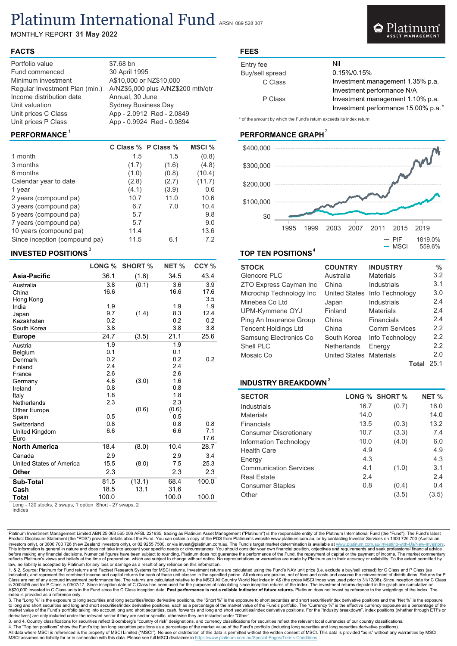# Platinum International Fund

MONTHLY REPORT 31 May 2022

#### FACTS

| Portfolio value<br>Fund commenced<br>Minimum investment<br>Regular Investment Plan (min.)<br>Income distribution date<br>Unit valuation<br>Unit prices C Class | $$7.68$ bn<br>30 April 1995<br>A\$10,000 or NZ\$10,000<br>A/NZ\$5,000 plus A/NZ\$200 mth/qtr<br>Annual, 30 June<br><b>Sydney Business Day</b> |
|----------------------------------------------------------------------------------------------------------------------------------------------------------------|-----------------------------------------------------------------------------------------------------------------------------------------------|
| Unit prices P Class                                                                                                                                            | App - 2.0912 Red - 2.0849<br>App - 0.9924 Red - 0.9894                                                                                        |

|                               | C Class % P Class % |       | MSCI % |
|-------------------------------|---------------------|-------|--------|
| 1 month                       | 1.5                 | 1.5   | (0.8)  |
| 3 months                      | (1.7)               | (1.6) | (4.8)  |
| 6 months                      | (1.0)               | (0.8) | (10.4) |
| Calendar year to date         | (2.8)               | (2.7) | (11.7) |
| 1 year                        | (4.1)               | (3.9) | 0.6    |
| 2 years (compound pa)         | 10.7                | 11.0  | 10.6   |
| 3 years (compound pa)         | 6.7                 | 7.0   | 10.4   |
| 5 years (compound pa)         | 5.7                 |       | 9.8    |
| 7 years (compound pa)         | 5.7                 |       | 9.0    |
| 10 years (compound pa)        | 11.4                |       | 13.6   |
| Since inception (compound pa) | 11.5                | 6.1   | 7.2    |

### INVESTED POSITIONS

|                                 | LONG % | <b>SHORT %</b> | NET % | CCY % |
|---------------------------------|--------|----------------|-------|-------|
| Asia-Pacific                    | 36.1   | (1.6)          | 34.5  | 43.4  |
| Australia                       | 3.8    | (0.1)          | 3.6   | 3.9   |
| China                           | 16.6   |                | 16.6  | 17.6  |
| Hong Kong                       |        |                |       | 3.5   |
| India                           | 1.9    |                | 1.9   | 1.9   |
| Japan                           | 9.7    | (1.4)          | 8.3   | 12.4  |
| Kazakhstan                      | 0.2    |                | 0.2   | 0.2   |
| South Korea                     | 3.8    |                | 3.8   | 3.8   |
| <b>Europe</b>                   | 24.7   | (3.5)          | 21.1  | 25.6  |
| Austria                         | 1.9    |                | 1.9   |       |
| Belgium                         | 0.1    |                | 0.1   |       |
| Denmark                         | 0.2    |                | 0.2   | 0.2   |
| Finland                         | 2.4    |                | 2.4   |       |
| France                          | 2.6    |                | 2.6   |       |
| Germany                         | 4.6    | (3.0)          | 1.6   |       |
| Ireland                         | 0.8    |                | 0.8   |       |
| Italy                           | 1.8    |                | 1.8   |       |
| Netherlands                     | 2.3    |                | 2.3   |       |
| Other Europe                    |        | (0.6)          | (0.6) |       |
| Spain                           | 0.5    |                | 0.5   |       |
| Switzerland                     | 0.8    |                | 0.8   | 0.8   |
| United Kingdom                  | 6.6    |                | 6.6   | 7.1   |
| Euro                            |        |                |       | 17.6  |
| <b>North America</b>            | 18.4   | (8.0)          | 10.4  | 28.7  |
| Canada                          | 2.9    |                | 2.9   | 3.4   |
| <b>United States of America</b> | 15.5   | (8.0)          | 7.5   | 25.3  |
| Other                           | 2.3    |                | 2.3   | 2.3   |
| Sub-Total                       | 81.5   | (13.1)         | 68.4  | 100.0 |
| Cash                            | 18.5   | 13.1           | 31.6  |       |
| Total                           | 100.0  |                | 100.0 | 100.0 |
|                                 |        |                |       |       |

Long - 120 stocks, 2 swaps, 1 option Short - 27 swaps, 2 indices

## FEES

| Entry fee       | Nil                                 |
|-----------------|-------------------------------------|
| Buy/sell spread | 0.15%/0.15%                         |
| C Class         | Investment management 1.35% p.a.    |
|                 | Investment performance N/A          |
| P Class         | Investment management 1.10% p.a.    |
|                 | Investment performance 15.00% p.a.* |

Platinum

\* of the amount by which the Fund's return exceeds its index return

#### $\mathsf{PERFORMANCE}^\mathsf{\mathsf{1}}$



### $\overline{3}$  and  $\overline{4}$  to  $\overline{4}$  to  $\overline{4}$  to  $\overline{4}$  to  $\overline{4}$  to  $\overline{4}$  to  $\overline{4}$  to  $\overline{4}$  to  $\overline{4}$  to  $\overline{4}$  to  $\overline{4}$  to  $\overline{4}$  to  $\overline{4}$  to  $\overline{4}$  to  $\overline{4}$  to  $\overline{4}$  to  $\overline{4}$  to  $\overline$

| <b>STOCK</b>                | <b>COUNTRY</b>          | <b>INDUSTRY</b>      | $\%$ |
|-----------------------------|-------------------------|----------------------|------|
| Glencore PLC                | Australia               | <b>Materials</b>     | 3.2  |
| ZTO Express Cayman Inc      | China                   | Industrials          | 3.1  |
| Microchip Technology Inc    | <b>United States</b>    | Info Technology      | 3.0  |
| Minebea Co Ltd              | Japan                   | Industrials          | 2.4  |
| UPM-Kymmene OYJ             | Finland                 | <b>Materials</b>     | 2.4  |
| Ping An Insurance Group     | China                   | Financials           | 2.4  |
| <b>Tencent Holdings Ltd</b> | China                   | <b>Comm Services</b> | 2.2  |
| Samsung Electronics Co      | South Korea             | Info Technology      | 2.2  |
| Shell PLC                   | <b>Netherlands</b>      | Energy               | 2.2  |
| Mosaic Co                   | United States Materials |                      | 2.0  |
|                             |                         | Total                | 25.1 |

#### INDUSTRY BREAKDOWN<sup>3</sup>

| <b>SECTOR</b>                 |      | LONG % SHORT % | NET % |
|-------------------------------|------|----------------|-------|
| Industrials                   | 16.7 | (0.7)          | 16.0  |
| <b>Materials</b>              | 14.0 |                | 14.0  |
| <b>Financials</b>             | 13.5 | (0.3)          | 13.2  |
| <b>Consumer Discretionary</b> | 10.7 | (3.3)          | 7.4   |
| Information Technology        | 10.0 | (4.0)          | 6.0   |
| <b>Health Care</b>            | 4.9  |                | 4.9   |
| Energy                        | 4.3  |                | 4.3   |
| <b>Communication Services</b> | 4.1  | (1.0)          | 3.1   |
| <b>Real Estate</b>            | 2.4  |                | 2.4   |
| <b>Consumer Staples</b>       | 0.8  | (0.4)          | 0.4   |
| Other                         |      | (3.5)          | (3.5) |

Platinum Investment Management Limited ABN 25 063 565 006 AFSL 221935, trading as Platinum Asset Management ("Platinum") is the responsible entity of the Platinum International Fund (the "Fund"). The Fund's latest<br>Product investors only), or 0800 700 726 (New Zealand investors only), or 02 9255 7500, or via invest@platinum.com.au. The Fund's target market determination is available at <u>www.platinum.com.au/Investing-with-Us/New-Investors</u>.<br>D law, no liability is accepted by Platinum for any loss or damage as a result of any reliance on this information.

1. & 2. Source: Platinum for Fund returns and Factset Research Systems for MSCI returns. Investment returns are calculated using the Fund's NAV unit price (i.e. exclude a buy/sell spread) for C Class and P Class (as<br>indica is 30/04/95 and for P Class is 03/07/17. Since inception date of C Class has been used for the purposes of calculating since inception returns of the index. The investment returns depicted in the graph are cumulative on<br>A\$ index is provided as a reference only.

3. The "Long %" is the exposure to long securities and long securities/index derivative positions, the "Short %" is the exposure to short securities and short securities/index derivative positions and the "Net %" is the ex market value of the Fund's portfolio taking into account long and short securities, cash, forwards and long and short securities/index derivative positions. For the "Industry breakdown", index positions (whether through ET

3. and 4. Country classifications for securities reflect Bloomberg's "country of risk" designations, and currency classifications for securities reflect the relevant local currencies of our country classifications.<br>4. The

All data where MSCI is referenced is the property of MSCI Limited ("MSCI"). No use or distribution of this data is permitted without the written consent of MSCI. This data is provided "as is" without any warranties by MSCI. MSCI assumes no liability for or in connection with this data. Please see full MSCI disclaimer in https://www.platinum.com.au/Special-Pages/Terms-Conditions